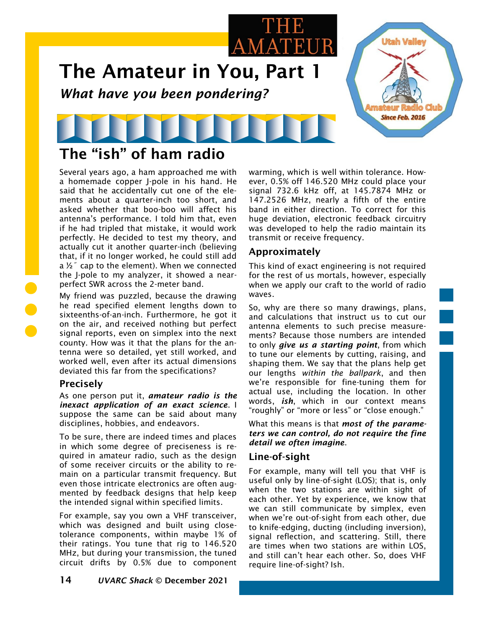

# The "ish" of ham radio

Several years ago, a ham approached me with a homemade copper J-pole in his hand. He said that he accidentally cut one of the elements about a quarter-inch too short, and asked whether that boo-boo will affect his antenna's performance. I told him that, even if he had tripled that mistake, it would work perfectly. He decided to test my theory, and actually cut it another quarter-inch (believing that, if it no longer worked, he could still add a  $\frac{1}{2}$  cap to the element). When we connected the J-pole to my analyzer, it showed a nearperfect SWR across the 2-meter band.

My friend was puzzled, because the drawing he read specified element lengths down to sixteenths-of-an-inch. Furthermore, he got it on the air, and received nothing but perfect signal reports, even on simplex into the next county. How was it that the plans for the antenna were so detailed, yet still worked, and worked well, even after its actual dimensions deviated this far from the specifications?

# Precisely

As one person put it, *amateur radio is the inexact application of an exact science*. I suppose the same can be said about many disciplines, hobbies, and endeavors.

To be sure, there are indeed times and places in which some degree of preciseness is required in amateur radio, such as the design of some receiver circuits or the ability to remain on a particular transmit frequency. But even those intricate electronics are often augmented by feedback designs that help keep the intended signal within specified limits.

For example, say you own a VHF transceiver, which was designed and built using closetolerance components, within maybe 1% of their ratings. You tune that rig to 146.520 MHz, but during your transmission, the tuned circuit drifts by 0.5% due to component warming, which is well within tolerance. However, 0.5% off 146.520 MHz could place your signal 732.6 kHz off, at 145.7874 MHz or 147.2526 MHz, nearly a fifth of the entire band in either direction. To correct for this huge deviation, electronic feedback circuitry was developed to help the radio maintain its transmit or receive frequency.

# Approximately

This kind of exact engineering is not required for the rest of us mortals, however, especially when we apply our craft to the world of radio waves.

So, why are there so many drawings, plans, and calculations that instruct us to cut our antenna elements to such precise measurements? Because those numbers are intended to only *give us a starting point*, from which to tune our elements by cutting, raising, and shaping them. We say that the plans help get our lengths *within the ballpark*, and then we're responsible for fine-tuning them for actual use, including the location. In other words, *ish*, which in our context means "roughly" or "more or less" or "close enough."

What this means is that *most of the parameters we can control, do not require the fine detail we often imagine*.

# Line-of-sight

For example, many will tell you that VHF is useful only by line-of-sight (LOS); that is, only when the two stations are within sight of each other. Yet by experience, we know that we can still communicate by simplex, even when we're out-of-sight from each other, due to knife-edging, ducting (including inversion), signal reflection, and scattering. Still, there are times when two stations are within LOS, and still can't hear each other. So, does VHF require line-of-sight? Ish.